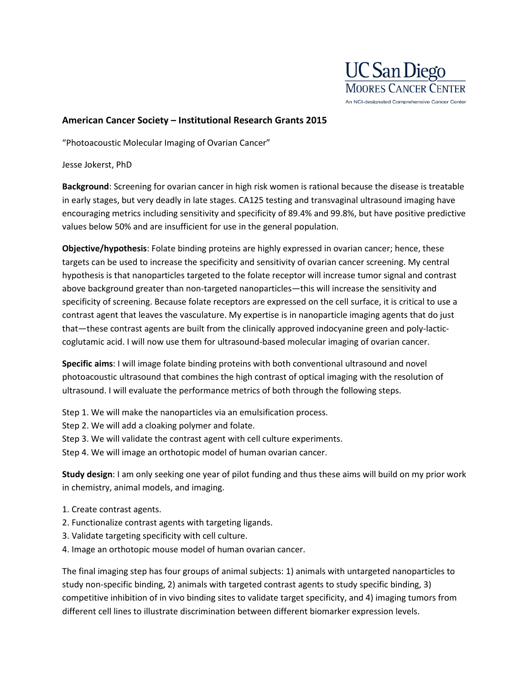

## **American Cancer Society – Institutional Research Grants 2015**

"Photoacoustic Molecular Imaging of Ovarian Cancer"

Jesse Jokerst, PhD

**Background**: Screening for ovarian cancer in high risk women is rational because the disease is treatable in early stages, but very deadly in late stages. CA125 testing and transvaginal ultrasound imaging have encouraging metrics including sensitivity and specificity of 89.4% and 99.8%, but have positive predictive values below 50% and are insufficient for use in the general population.

**Objective/hypothesis**: Folate binding proteins are highly expressed in ovarian cancer; hence, these targets can be used to increase the specificity and sensitivity of ovarian cancer screening. My central hypothesis is that nanoparticles targeted to the folate receptor will increase tumor signal and contrast above background greater than non-targeted nanoparticles—this will increase the sensitivity and specificity of screening. Because folate receptors are expressed on the cell surface, it is critical to use a contrast agent that leaves the vasculature. My expertise is in nanoparticle imaging agents that do just that—these contrast agents are built from the clinically approved indocyanine green and poly-lacticcoglutamic acid. I will now use them for ultrasound-based molecular imaging of ovarian cancer.

**Specific aims**: I will image folate binding proteins with both conventional ultrasound and novel photoacoustic ultrasound that combines the high contrast of optical imaging with the resolution of ultrasound. I will evaluate the performance metrics of both through the following steps.

Step 1. We will make the nanoparticles via an emulsification process.

Step 2. We will add a cloaking polymer and folate.

Step 3. We will validate the contrast agent with cell culture experiments.

Step 4. We will image an orthotopic model of human ovarian cancer.

**Study design**: I am only seeking one year of pilot funding and thus these aims will build on my prior work in chemistry, animal models, and imaging.

- 1. Create contrast agents.
- 2. Functionalize contrast agents with targeting ligands.
- 3. Validate targeting specificity with cell culture.
- 4. Image an orthotopic mouse model of human ovarian cancer.

The final imaging step has four groups of animal subjects: 1) animals with untargeted nanoparticles to study non-specific binding, 2) animals with targeted contrast agents to study specific binding, 3) competitive inhibition of in vivo binding sites to validate target specificity, and 4) imaging tumors from different cell lines to illustrate discrimination between different biomarker expression levels.